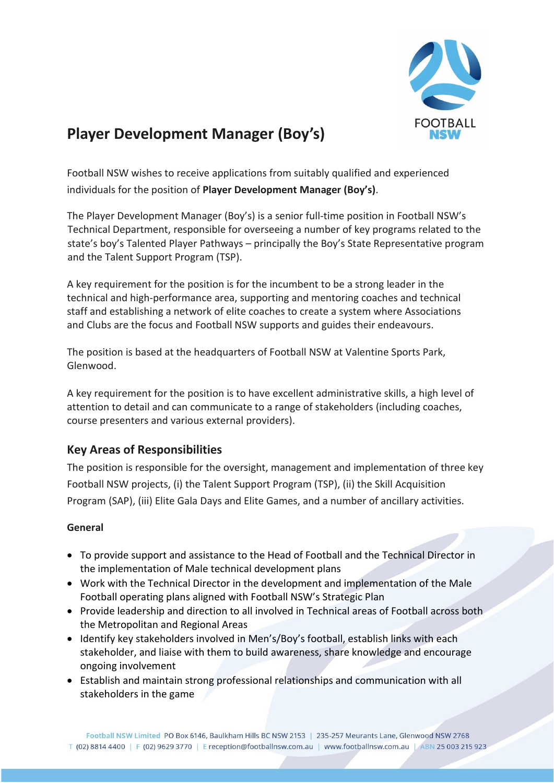

# **Player Development Manager (Boy's)**

Football NSW wishes to receive applications from suitably qualified and experienced individuals for the position of **Player Development Manager (Boy's)**.

The Player Development Manager (Boy's) is a senior full-time position in Football NSW's Technical Department, responsible for overseeing a number of key programs related to the state's boy's Talented Player Pathways – principally the Boy's State Representative program and the Talent Support Program (TSP).

A key requirement for the position is for the incumbent to be a strong leader in the technical and high-performance area, supporting and mentoring coaches and technical staff and establishing a network of elite coaches to create a system where Associations and Clubs are the focus and Football NSW supports and guides their endeavours.

The position is based at the headquarters of Football NSW at Valentine Sports Park, Glenwood.

A key requirement for the position is to have excellent administrative skills, a high level of attention to detail and can communicate to a range of stakeholders (including coaches, course presenters and various external providers).

# **Key Areas of Responsibilities**

The position is responsible for the oversight, management and implementation of three key Football NSW projects, (i) the Talent Support Program (TSP), (ii) the Skill Acquisition Program (SAP), (iii) Elite Gala Days and Elite Games, and a number of ancillary activities.

# **General**

- To provide support and assistance to the Head of Football and the Technical Director in the implementation of Male technical development plans
- Work with the Technical Director in the development and implementation of the Male Football operating plans aligned with Football NSW's Strategic Plan
- Provide leadership and direction to all involved in Technical areas of Football across both the Metropolitan and Regional Areas
- Identify key stakeholders involved in Men's/Boy's football, establish links with each stakeholder, and liaise with them to build awareness, share knowledge and encourage ongoing involvement
- Establish and maintain strong professional relationships and communication with all stakeholders in the game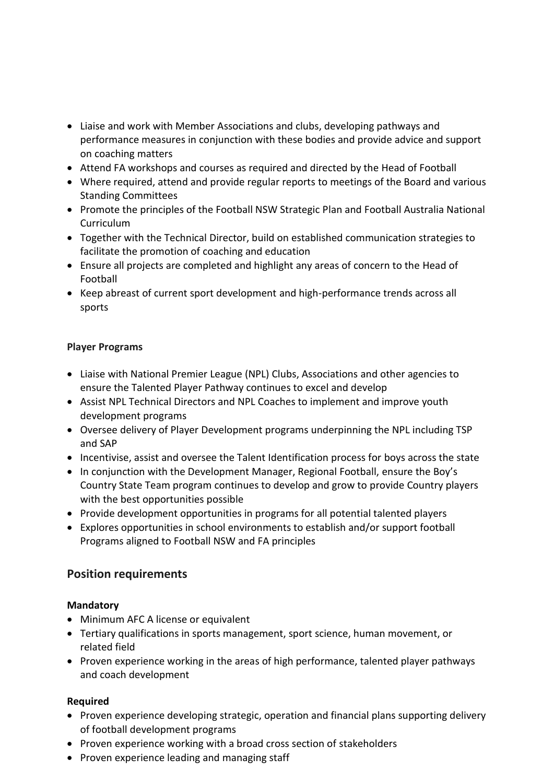- Liaise and work with Member Associations and clubs, developing pathways and performance measures in conjunction with these bodies and provide advice and support on coaching matters
- Attend FA workshops and courses as required and directed by the Head of Football
- Where required, attend and provide regular reports to meetings of the Board and various Standing Committees
- Promote the principles of the Football NSW Strategic Plan and Football Australia National Curriculum
- Together with the Technical Director, build on established communication strategies to facilitate the promotion of coaching and education
- Ensure all projects are completed and highlight any areas of concern to the Head of Football
- Keep abreast of current sport development and high-performance trends across all sports

# **Player Programs**

- Liaise with National Premier League (NPL) Clubs, Associations and other agencies to ensure the Talented Player Pathway continues to excel and develop
- Assist NPL Technical Directors and NPL Coaches to implement and improve youth development programs
- Oversee delivery of Player Development programs underpinning the NPL including TSP and SAP
- Incentivise, assist and oversee the Talent Identification process for boys across the state
- In conjunction with the Development Manager, Regional Football, ensure the Boy's Country State Team program continues to develop and grow to provide Country players with the best opportunities possible
- Provide development opportunities in programs for all potential talented players
- Explores opportunities in school environments to establish and/or support football Programs aligned to Football NSW and FA principles

# **Position requirements**

# **Mandatory**

- Minimum AFC A license or equivalent
- Tertiary qualifications in sports management, sport science, human movement, or related field
- Proven experience working in the areas of high performance, talented player pathways and coach development

# **Required**

- Proven experience developing strategic, operation and financial plans supporting delivery of football development programs
- Proven experience working with a broad cross section of stakeholders
- Proven experience leading and managing staff